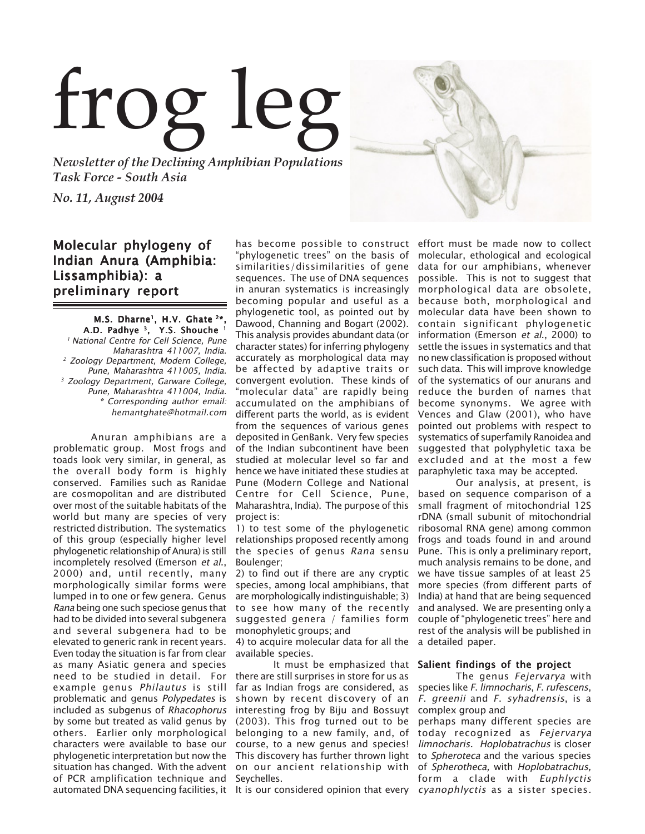# frog leg

*Newsletter of the Declining Amphibian Populations Task Force - South Asia*

*No. 11, August 2004*

# Molecular phylogeny of Indian Anura (Amphibia: Lissamphibia): a preliminary report

M.S. Dharne<sup>1</sup>, H.V. Ghate<sup>2\*</sup> A.D. Padhye<sup>3</sup>, Y.S. Shouche<sup>1</sup> <sup>1</sup> National Centre for Cell Science, Pune Maharashtra 411007, India. 2 Zoology Department, Modern College, Pune, Maharashtra 411005, India. <sup>3</sup> Zoology Department, Garware College, Pune, Maharashtra 411004, India. \* Corresponding author email: hemantghate@hotmail.com

Anuran amphibians are a problematic group. Most frogs and toads look very similar, in general, as the overall body form is highly conserved. Families such as Ranidae are cosmopolitan and are distributed over most of the suitable habitats of the world but many are species of very restricted distribution. The systematics of this group (especially higher level phylogenetic relationship of Anura) is still incompletely resolved (Emerson et al., 2000) and, until recently, many morphologically similar forms were lumped in to one or few genera. Genus Rana being one such speciose genus that had to be divided into several subgenera and several subgenera had to be elevated to generic rank in recent years. Even today the situation is far from clear as many Asiatic genera and species need to be studied in detail. For example genus Philautus is still problematic and genus Polypedates is included as subgenus of Rhacophorus by some but treated as valid genus by others. Earlier only morphological characters were available to base our phylogenetic interpretation but now the This discovery has further thrown light situation has changed. With the advent on our ancient relationship with of PCR amplification technique and Seychelles. automated DNA sequencing facilities, it  $\:$  It is our considered opinion that every  $\:$  cyan $ophlyctis$  as <code>asister species</code>.

has become possible to construct effort must be made now to collect "phylogenetic trees" on the basis of similarities/dissimilarities of gene sequences. The use of DNA sequences in anuran systematics is increasingly becoming popular and useful as a phylogenetic tool, as pointed out by Dawood, Channing and Bogart (2002). This analysis provides abundant data (or character states) for inferring phylogeny accurately as morphological data may be affected by adaptive traits or convergent evolution. These kinds of "molecular data" are rapidly being accumulated on the amphibians of different parts the world, as is evident from the sequences of various genes deposited in GenBank. Very few species of the Indian subcontinent have been studied at molecular level so far and hence we have initiated these studies at Pune (Modern College and National Centre for Cell Science, Pune, Maharashtra, India). The purpose of this project is:

1) to test some of the phylogenetic relationships proposed recently among the species of genus Rana sensu Boulenger;

2) to find out if there are any cryptic species, among local amphibians, that are morphologically indistinguishable; 3) to see how many of the recently suggested genera / families form monophyletic groups; and

4) to acquire molecular data for all the available species.

It must be emphasized that **Salient findings of the project** there are still surprises in store for us as far as Indian frogs are considered, as shown by recent discovery of an interesting frog by Biju and Bossuyt (2003). This frog turned out to be belonging to a new family, and, of course, to a new genus and species!

molecular, ethological and ecological data for our amphibians, whenever possible. This is not to suggest that morphological data are obsolete, because both, morphological and molecular data have been shown to contain significant phylogenetic information (Emerson et al., 2000) to settle the issues in systematics and that no new classification is proposed without such data. This will improve knowledge of the systematics of our anurans and reduce the burden of names that become synonyms. We agree with Vences and Glaw (2001), who have pointed out problems with respect to systematics of superfamily Ranoidea and suggested that polyphyletic taxa be excluded and at the most a few paraphyletic taxa may be accepted.

Our analysis, at present, is based on sequence comparison of a small fragment of mitochondrial 12S rDNA (small subunit of mitochondrial ribosomal RNA gene) among common frogs and toads found in and around Pune. This is only a preliminary report, much analysis remains to be done, and we have tissue samples of at least 25 more species (from different parts of India) at hand that are being sequenced and analysed. We are presenting only a couple of "phylogenetic trees" here and rest of the analysis will be published in a detailed paper.

The genus Fejervarya with species like F. limnocharis, F. rufescens, <sup>F</sup>. greenii and F. syhadrensis, is a complex group and

perhaps many different species are today recognized as Fejervarya limnocharis. Hoplobatrachus is closer to Spheroteca and the various species of Spherotheca, with Hoplobatrachus, form a clade with Euphlyctis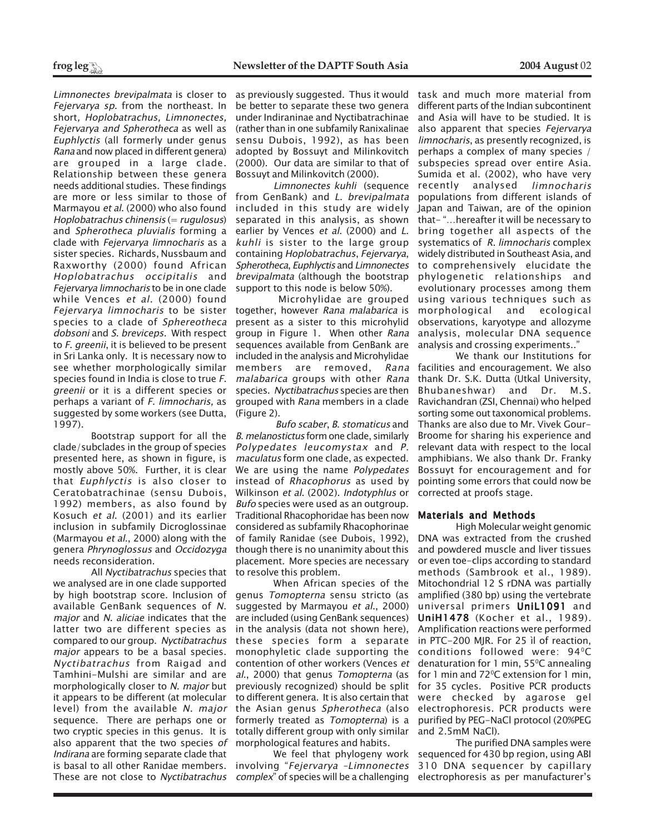Limnonectes brevipalmata is closer to Fejervarya sp. from the northeast. In short, Hoplobatrachus, Limnonectes, Fejervarya and Spherotheca as well as Euphlyctis (all formerly under genus Rana and now placed in different genera) are grouped in a large clade. Relationship between these genera needs additional studies. These findings are more or less similar to those of Marmayou et al. (2000) who also found Hoplobatrachus chinensis  $(= rugulosus)$ and Spherotheca pluvialis forming a clade with Fejervarya limnocharis as a sister species. Richards, Nussbaum and Raxworthy (2000) found African Hoplobatrachus occipitalis and Fejervarya limnocharis to be in one clade while Vences et al. (2000) found Fejervarya limnocharis to be sister species to a clade of Sphereotheca dobsoni and S. breviceps. With respect to *F. greenii*, it is believed to be present in Sri Lanka only. It is necessary now to see whether morphologically similar species found in India is close to true F. greenii or it is a different species or perhaps a variant of F. limnocharis, as suggested by some workers (see Dutta, 1997).

clade/subclades in the group of species presented here, as shown in figure, is mostly above 50%. Further, it is clear that Euphlyctis is also closer to Ceratobatrachinae (sensu Dubois, 1992) members, as also found by Kosuch et al. (2001) and its earlier inclusion in subfamily Dicroglossinae (Marmayou et al., 2000) along with the genera Phrynoglossus and Occidozyga needs reconsideration.

All Nyctibatrachus species that we analysed are in one clade supported by high bootstrap score. Inclusion of available GenBank sequences of N. major and N. aliciae indicates that the latter two are different species as compared to our group. Nyctibatrachus major appears to be a basal species. Nyctibatrachus from Raigad and Tamhini-Mulshi are similar and are morphologically closer to N. *major* but it appears to be different (at molecular level) from the available N. major sequence. There are perhaps one or two cryptic species in this genus. It is also apparent that the two species of Indirana are forming separate clade that is basal to all other Ranidae members. These are not close to *Nyctibatrachus complex*" of species will be a challenging electrophoresis as per manufacturer's

as previously suggested. Thus it would be better to separate these two genera under Indiraninae and Nyctibatrachinae (rather than in one subfamily Ranixalinae sensu Dubois, 1992), as has been adopted by Bossuyt and Milinkovitch (2000). Our data are similar to that of Bossuyt and Milinkovitch (2000).

Limnonectes kuhli (sequence from GenBank) and L. brevipalmata included in this study are widely separated in this analysis, as shown earlier by Vences et al. (2000) and L. kuhli is sister to the large group containing Hoplobatrachus, Fejervarya, Spherotheca, Euphlyctis and Limnonectes brevipalmata (although the bootstrap support to this node is below 50%).

 Microhylidae are grouped together, however Rana malabarica is present as a sister to this microhylid group in Figure 1. When other Rana sequences available from GenBank are included in the analysis and Microhylidae members are removed, Rana malabarica groups with other Rana species. Nyctibatrachus species are then grouped with Rana members in a clade (Figure 2).

Bootstrap support for all the B. melanostictusform one clade, similarly Bufo scaber, B. stomaticus and Polypedates leucomystax and P. maculatus form one clade, as expected. We are using the name Polypedates instead of Rhacophorus as used by Wilkinson et al. (2002). Indotyphlus or Bufo species were used as an outgroup. Traditional Rhacophoridae has been now considered as subfamily Rhacophorinae of family Ranidae (see Dubois, 1992), though there is no unanimity about this placement. More species are necessary to resolve this problem.

When African species of the genus Tomopterna sensu stricto (as suggested by Marmayou et al., 2000) are included (using GenBank sequences) in the analysis (data not shown here), these species form a separate monophyletic clade supporting the contention of other workers (Vences et al., 2000) that genus Tomopterna (as previously recognized) should be split to different genera. It is also certain that the Asian genus Spherotheca (also formerly treated as Tomopterna) is a totally different group with only similar morphological features and habits.

We feel that phylogeny work involving "Fejervarya –Limnonectes

task and much more material from different parts of the Indian subcontinent and Asia will have to be studied. It is also apparent that species Fejervarya limnocharis, as presently recognized, is perhaps a complex of many species / subspecies spread over entire Asia. Sumida et al. (2002), who have very recently analysed limnocharis populations from different islands of Japan and Taiwan, are of the opinion that- "…hereafter it will be necessary to bring together all aspects of the systematics of R. limnocharis complex widely distributed in Southeast Asia, and to comprehensively elucidate the phylogenetic relationships and evolutionary processes among them using various techniques such as morphological and ecological observations, karyotype and allozyme analysis, molecular DNA sequence analysis and crossing experiments.."

We thank our Institutions for facilities and encouragement. We also thank Dr. S.K. Dutta (Utkal University, Bhubaneshwar) and Dr. M.S. Ravichandran (ZSI, Chennai) who helped sorting some out taxonomical problems. Thanks are also due to Mr. Vivek Gour-Broome for sharing his experience and relevant data with respect to the local amphibians. We also thank Dr. Franky Bossuyt for encouragement and for pointing some errors that could now be corrected at proofs stage.

# Materials and Methods

High Molecular weight genomic DNA was extracted from the crushed and powdered muscle and liver tissues or even toe-clips according to standard methods (Sambrook et al., 1989). Mitochondrial 12 S rDNA was partially amplified (380 bp) using the vertebrate universal primers UniL1091 and UniH1478 (Kocher et al., 1989). Amplification reactions were performed in PTC-200 MJR. For 25 ìl of reaction, conditions followed were: 94°C denaturation for 1 min, 55°C annealing for 1 min and 72<sup>o</sup>C extension for 1 min, for 35 cycles. Positive PCR products were checked by agarose gel electrophoresis. PCR products were purified by PEG-NaCl protocol (20%PEG and 2.5mM NaCl).

The purified DNA samples were sequenced for 430 bp region, using ABI 310 DNA sequencer by capillary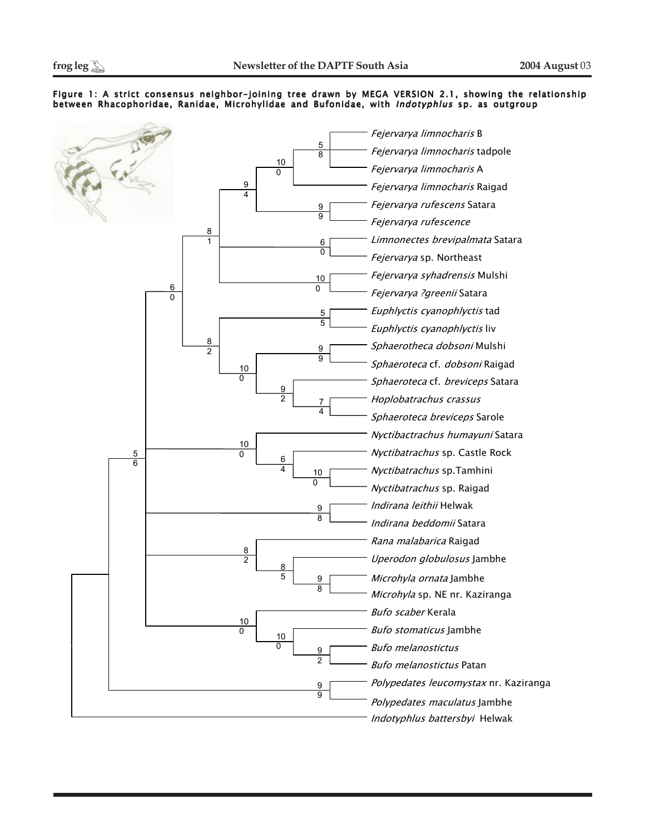# Figure 1: A strict consensus neighbor-joining tree drawn by MEGA VERSION 2.1, showing the relationship between Rhacophoridae, Ranidae, Microhylidae and Bufonidae, with Indotyphlus sp. as outgroup

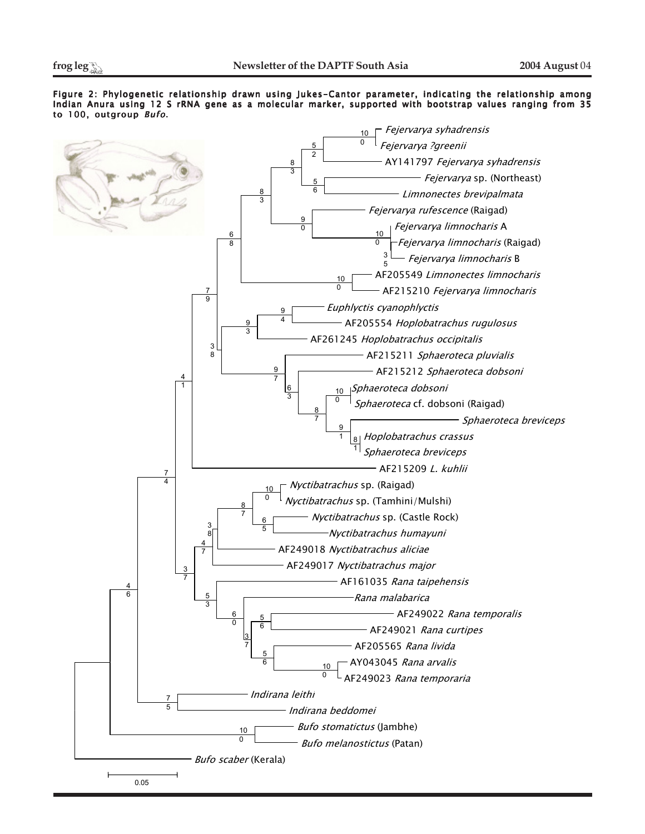Figure 2: Phylogenetic relationship drawn using Jukes-Cantor parameter, indicating the relationship among Indian Anura using 12 S rRNA gene as a molecular marker, supported with bootstrap values ranging from 35 to 100, outgroup Bufo.

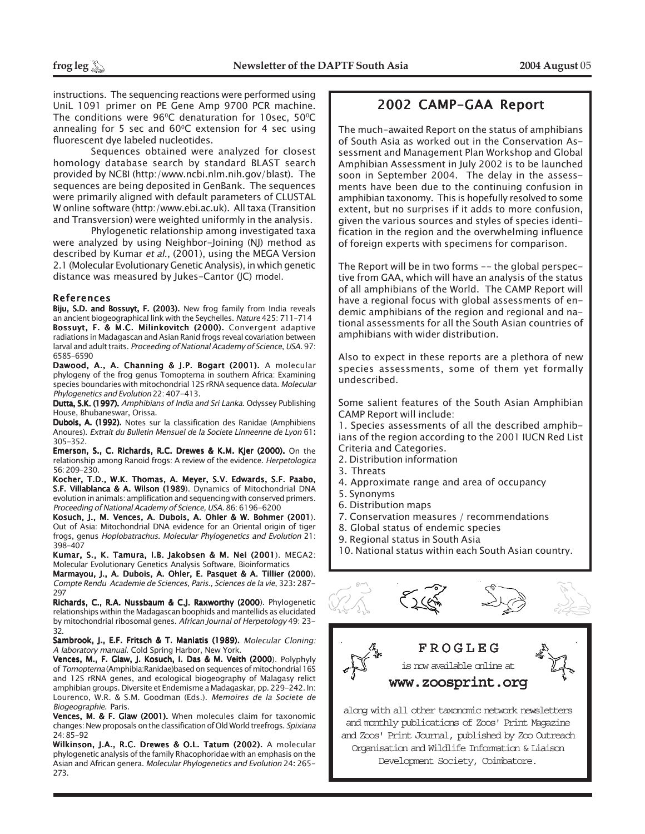instructions. The sequencing reactions were performed using UniL 1091 primer on PE Gene Amp 9700 PCR machine. The conditions were  $96^{\circ}$ C denaturation for 10sec,  $50^{\circ}$ C annealing for 5 sec and  $60^{\circ}$ C extension for 4 sec using fluorescent dye labeled nucleotides.

Sequences obtained were analyzed for closest homology database search by standard BLAST search provided by NCBI (http:/www.ncbi.nlm.nih.gov/blast). The sequences are being deposited in GenBank. The sequences were primarily aligned with default parameters of CLUSTAL W online software (http:/www.ebi.ac.uk). All taxa (Transition and Transversion) were weighted uniformly in the analysis.

Phylogenetic relationship among investigated taxa were analyzed by using Neighbor-Joining (NJ) method as described by Kumar et al., (2001), using the MEGA Version 2.1 (Molecular Evolutionary Genetic Analysis), in which genetic distance was measured by Jukes-Cantor (JC) model.

# References

Biju, S.D. and Bossuyt, F. (2003). New frog family from India reveals an ancient biogeographical link with the Seychelles. Nature 425: 711–714 Bossuyt, F. & M.C. Milinkovitch (2000). Convergent adaptive radiations in Madagascan and Asian Ranid frogs reveal covariation between larval and adult traits. Proceeding of National Academy of Science, USA. 97: 6585-6590

Dawood, A., A. Channing & J.P. Bogart (2001). A molecular phylogeny of the frog genus Tomopterna in southern Africa: Examining species boundaries with mitochondrial 12S rRNA sequence data. Molecular Phylogenetics and Evolution 22: 407-413.

Dutta, S.K. (1997). Amphibians of India and Sri Lanka. Odyssey Publishing House, Bhubaneswar, Orissa.

Dubois, A. (1992). Notes sur la classification des Ranidae (Amphibiens Anoures). Extrait du Bulletin Mensuel de la Societe Linneenne de Lyon 61: 305-352.

Emerson, S., C. Richards, R.C. Drewes & K.M. Kjer (2000). On the relationship among Ranoid frogs: A review of the evidence. Herpetologica 56: 209-230.

Kocher, T.D., W.K. Thomas, A. Meyer, S.V. Edwards, S.F. Paabo, S.F. Villablanca & A. Wilson (1989). Dynamics of Mitochondrial DNA evolution in animals: amplification and sequencing with conserved primers. Proceeding of National Academy of Science, USA. 86: 6196-6200

Kosuch, J., M. Vences, A. Dubois, A. Ohler & W. Bohmer (2001). Out of Asia: Mitochondrial DNA evidence for an Oriental origin of tiger frogs, genus Hoplobatrachus. Molecular Phylogenetics and Evolution 21: 398-407

Kumar, S., K. Tamura, I.B. Jakobsen & M. Nei (2001). MEGA2: Molecular Evolutionary Genetics Analysis Software, Bioinformatics

Marmayou, J., A. Dubois, A. Ohler, E. Pasquet & A. Tillier (2000). Compte Rendu Academie de Sciences, Paris., Sciences de la vie, 323: 287- 297

Richards, C., R.A. Nussbaum & C.J. Raxworthy (2000). Phylogenetic relationships within the Madagascan boophids and mantellids as elucidated by mitochondrial ribosomal genes. African Journal of Herpetology 49: 23- 32.

Sambrook, J., E.F. Fritsch & T. Maniatis (1989). Molecular Cloning: A laboratory manual. Cold Spring Harbor, New York.

Vences, M., F. Glaw, J. Kosuch, I. Das & M. Veith (2000). Polyphyly of Tomopterna (Amphibia:Ranidae)based on sequences of mitochondrial 16S and 12S rRNA genes, and ecological biogeography of Malagasy relict amphibian groups. Diversite et Endemisme a Madagaskar, pp. 229-242. In: Lourenco, W.R. & S.M. Goodman (Eds.). Memoires de la Societe de Biogeographie. Paris.

Vences, M. & F. Glaw (2001). When molecules claim for taxonomic changes: New proposals on the classification of Old World treefrogs. Spixiana 24: 85-92

Wilkinson, J.A., R.C. Drewes & O.L. Tatum (2002). A molecular phylogenetic analysis of the family Rhacophoridae with an emphasis on the Asian and African genera. Molecular Phylogenetics and Evolution 24: 265- 273.

# 2002 CAMP-GAA Report

The much-awaited Report on the status of amphibians of South Asia as worked out in the Conservation Assessment and Management Plan Workshop and Global Amphibian Assessment in July 2002 is to be launched soon in September 2004. The delay in the assessments have been due to the continuing confusion in amphibian taxonomy. This is hopefully resolved to some extent, but no surprises if it adds to more confusion, given the various sources and styles of species identification in the region and the overwhelming influence of foreign experts with specimens for comparison.

The Report will be in two forms -- the global perspective from GAA, which will have an analysis of the status of all amphibians of the World. The CAMP Report will have a regional focus with global assessments of endemic amphibians of the region and regional and national assessments for all the South Asian countries of amphibians with wider distribution.

Also to expect in these reports are a plethora of new species assessments, some of them yet formally undescribed.

Some salient features of the South Asian Amphibian CAMP Report will include:

1. Species assessments of all the described amphibians of the region according to the 2001 IUCN Red List Criteria and Categories.

- 2. Distribution information
- 3. Threats
- 4. Approximate range and area of occupancy
- 5. Synonyms
- 6. Distribution maps
- 7. Conservation measures / recommendations
- 8. Global status of endemic species
- 9. Regional status in South Asia
- 10. National status within each South Asian country.





and Zoos' Print Journal, published by Zoo Outreach Organisation and Wildlife Information & Liaison Development Society, Coimbatore.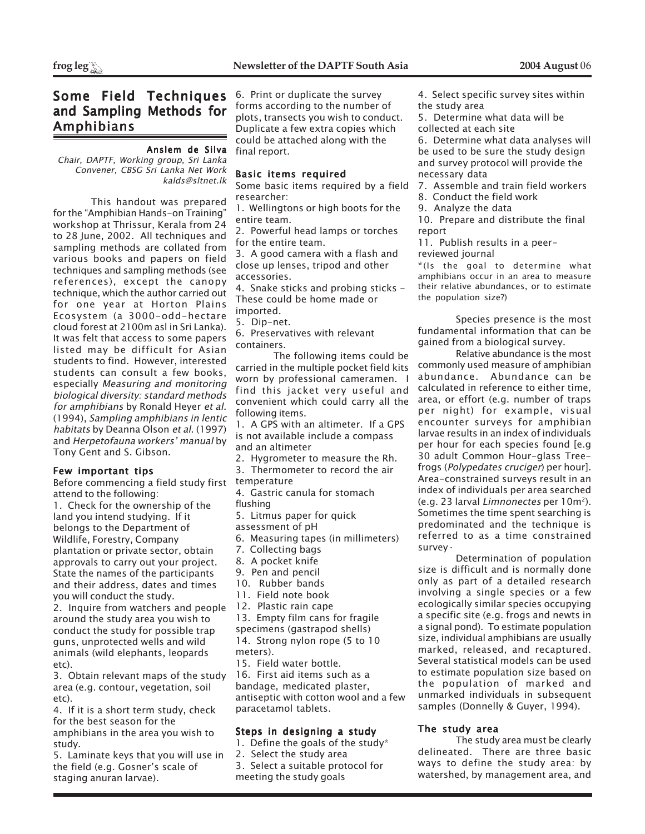# Some Field Techniques and Sampling Methods for Amphibians

# Anslem de Silva

Chair, DAPTF, Working group, Sri Lanka Convener, CBSG Sri Lanka Net Work kalds@sltnet.lk

This handout was prepared for the "Amphibian Hands-on Training" workshop at Thrissur, Kerala from 24 to 28 June, 2002. All techniques and sampling methods are collated from various books and papers on field techniques and sampling methods (see references), except the canopy technique, which the author carried out for one year at Horton Plains Ecosystem (a 3000-odd-hectare cloud forest at 2100m asl in Sri Lanka). It was felt that access to some papers listed may be difficult for Asian students to find. However, interested students can consult a few books, especially Measuring and monitoring biological diversity: standard methods for amphibians by Ronald Heyer et al. (1994), Sampling amphibians in lentic habitats by Deanna Olson et al. (1997) and Herpetofauna workers' manual by Tony Gent and S. Gibson.

# Few important tips

Before commencing a field study first attend to the following:

1. Check for the ownership of the land you intend studying. If it belongs to the Department of Wildlife, Forestry, Company plantation or private sector, obtain approvals to carry out your project. State the names of the participants and their address, dates and times you will conduct the study.

2. Inquire from watchers and people around the study area you wish to conduct the study for possible trap guns, unprotected wells and wild animals (wild elephants, leopards etc).

3. Obtain relevant maps of the study area (e.g. contour, vegetation, soil etc).

4. If it is a short term study, check for the best season for the amphibians in the area you wish to study.

5. Laminate keys that you will use in the field (e.g. Gosner's scale of staging anuran larvae).

6. Print or duplicate the survey forms according to the number of plots, transects you wish to conduct. Duplicate a few extra copies which could be attached along with the final report.

# Basic items required

Some basic items required by a field researcher:

1. Wellingtons or high boots for the entire team.

2. Powerful head lamps or torches for the entire team.

3. A good camera with a flash and close up lenses, tripod and other accessories.

4. Snake sticks and probing sticks - These could be home made or imported.

5. Dip-net.

6. Preservatives with relevant containers.

The following items could be carried in the multiple pocket field kits worn by professional cameramen. I find this jacket very useful and convenient which could carry all the following items.

1. A GPS with an altimeter. If a GPS is not available include a compass and an altimeter

- 2. Hygrometer to measure the Rh.
- 3. Thermometer to record the air
- temperature
- 4. Gastric canula for stomach

flushing

5. Litmus paper for quick

assessment of pH

6. Measuring tapes (in millimeters)

7. Collecting bags

- 8. A pocket knife
- 9. Pen and pencil
- 10. Rubber bands
- 11. Field note book
- 12. Plastic rain cape
- 13. Empty film cans for fragile

specimens (gastrapod shells) 14. Strong nylon rope (5 to 10 meters).

15. Field water bottle.

16. First aid items such as a bandage, medicated plaster, antiseptic with cotton wool and a few paracetamol tablets.

# Steps in designing a study

- 1. Define the goals of the study\*
- 2. Select the study area
- 3. Select a suitable protocol for
- meeting the study goals

4. Select specific survey sites within the study area

5. Determine what data will be collected at each site

6. Determine what data analyses will be used to be sure the study design and survey protocol will provide the necessary data

7. Assemble and train field workers

- 8. Conduct the field work
- 9. Analyze the data

10. Prepare and distribute the final report

11. Publish results in a peerreviewed journal

\*(Is the goal to determine what amphibians occur in an area to measure their relative abundances, or to estimate the population size?)

Species presence is the most fundamental information that can be gained from a biological survey.

Relative abundance is the most commonly used measure of amphibian abundance. Abundance can be calculated in reference to either time, area, or effort (e.g. number of traps per night) for example, visual encounter surveys for amphibian larvae results in an index of individuals per hour for each species found [e.g 30 adult Common Hour-glass Treefrogs (Polypedates cruciger) per hour]. Area-constrained surveys result in an index of individuals per area searched (e.g. 23 larval Limnonectes per 10m2). Sometimes the time spent searching is predominated and the technique is referred to as a time constrained survey·

Determination of population size is difficult and is normally done only as part of a detailed research involving a single species or a few ecologically similar species occupying a specific site (e.g. frogs and newts in a signal pond). To estimate population size, individual amphibians are usually marked, released, and recaptured. Several statistical models can be used to estimate population size based on the population of marked and unmarked individuals in subsequent samples (Donnelly & Guyer, 1994).

# The study area

The study area must be clearly delineated. There are three basic ways to define the study area: by watershed, by management area, and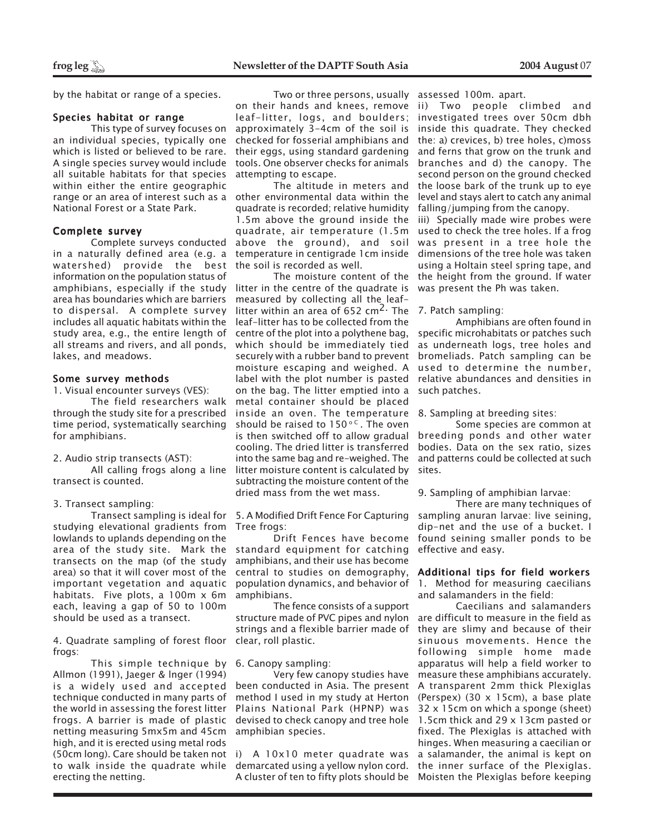by the habitat or range of a species.

# Species habitat or range

This type of survey focuses on an individual species, typically one which is listed or believed to be rare. A single species survey would include all suitable habitats for that species within either the entire geographic range or an area of interest such as a National Forest or a State Park.

# Complete survey

Complete surveys conducted in a naturally defined area (e.g. a watershed) provide the best information on the population status of amphibians, especially if the study area has boundaries which are barriers to dispersal. A complete survey includes all aquatic habitats within the study area, e.g., the entire length of all streams and rivers, and all ponds, lakes, and meadows.

# Some survey methods

1. Visual encounter surveys (VES):

The field researchers walk through the study site for a prescribed time period, systematically searching for amphibians.

2. Audio strip transects (AST):

All calling frogs along a line transect is counted.

# 3. Transect sampling:

studying elevational gradients from lowlands to uplands depending on the area of the study site. Mark the transects on the map (of the study area) so that it will cover most of the important vegetation and aquatic habitats. Five plots, a 100m x 6m each, leaving a gap of 50 to 100m should be used as a transect.

4. Quadrate sampling of forest floor clear, roll plastic. frogs:

This simple technique by Allmon (1991), Jaeger & lnger (1994) is a widely used and accepted technique conducted in many parts of the world in assessing the forest litter frogs. A barrier is made of plastic netting measuring 5mx5m and 45cm high, and it is erected using metal rods (50cm long). Care should be taken not i) A 10x10 meter quadrate was to walk inside the quadrate while erecting the netting.

Two or three persons, usually assessed 100m. apart. on their hands and knees, remove leaf-litter, logs, and boulders; approximately 3-4cm of the soil is checked for fosserial amphibians and their eggs, using standard gardening tools. One observer checks for animals attempting to escape.

The altitude in meters and other environmental data within the quadrate is recorded; relative humidity 1.5m above the ground inside the quadrate, air temperature (1.5m above the ground), and soil temperature in centigrade 1cm inside the soil is recorded as well.

The moisture content of the litter in the centre of the quadrate is measured by collecting all the leaflitter within an area of 652  $\text{cm}^2$ . The leaf-litter has to be collected from the centre of the plot into a polythene bag, which should be immediately tied securely with a rubber band to prevent moisture escaping and weighed. A label with the plot number is pasted on the bag. The litter emptied into a metal container should be placed inside an oven. The temperature should be raised to  $150^{\circ}$  C. The oven is then switched off to allow gradual cooling. The dried litter is transferred into the same bag and re-weighed. The litter moisture content is calculated by subtracting the moisture content of the dried mass from the wet mass.

Transect sampling is ideal for 5. A Modified Drift Fence For Capturing Tree frogs:

> Drift Fences have become standard equipment for catching amphibians, and their use has become central to studies on demography, population dynamics, and behavior of amphibians.

> The fence consists of a support structure made of PVC pipes and nylon strings and a flexible barrier made of

# 6. Canopy sampling:

Very few canopy studies have been conducted in Asia. The present method I used in my study at Herton Plains National Park (HPNP) was devised to check canopy and tree hole amphibian species.

demarcated using a yellow nylon cord. the inner surface of the Plexiglas. A cluster of ten to fifty plots should be Moisten the Plexiglas before keeping

ii) Two people climbed and investigated trees over 50cm dbh inside this quadrate. They checked the: a) crevices, b) tree holes, c)moss and ferns that grow on the trunk and branches and d) the canopy. The second person on the ground checked the loose bark of the trunk up to eye level and stays alert to catch any animal falling/jumping from the canopy.

iii) Specially made wire probes were used to check the tree holes. If a frog was present in a tree hole the dimensions of the tree hole was taken using a Holtain steel spring tape, and the height from the ground. If water was present the Ph was taken.

# 7. Patch sampling:

Amphibians are often found in specific microhabitats or patches such as underneath logs, tree holes and bromeliads. Patch sampling can be used to determine the number, relative abundances and densities in such patches.

8. Sampling at breeding sites:

Some species are common at breeding ponds and other water bodies. Data on the sex ratio, sizes and patterns could be collected at such sites.

9. Sampling of amphibian larvae:

There are many techniques of sampling anuran larvae: live seining, dip-net and the use of a bucket. I found seining smaller ponds to be effective and easy.

# Additional tips for field workers

1. Method for measuring caecilians and salamanders in the field:

Caecilians and salamanders are difficult to measure in the field as they are slimy and because of their sinuous movements. Hence the following simple home made apparatus will help a field worker to measure these amphibians accurately. A transparent 2mm thick Plexiglas (Perspex) (30 x 15cm), a base plate 32 x 15cm on which a sponge (sheet) 1.5cm thick and 29 x 13cm pasted or fixed. The Plexiglas is attached with hinges. When measuring a caecilian or a salamander, the animal is kept on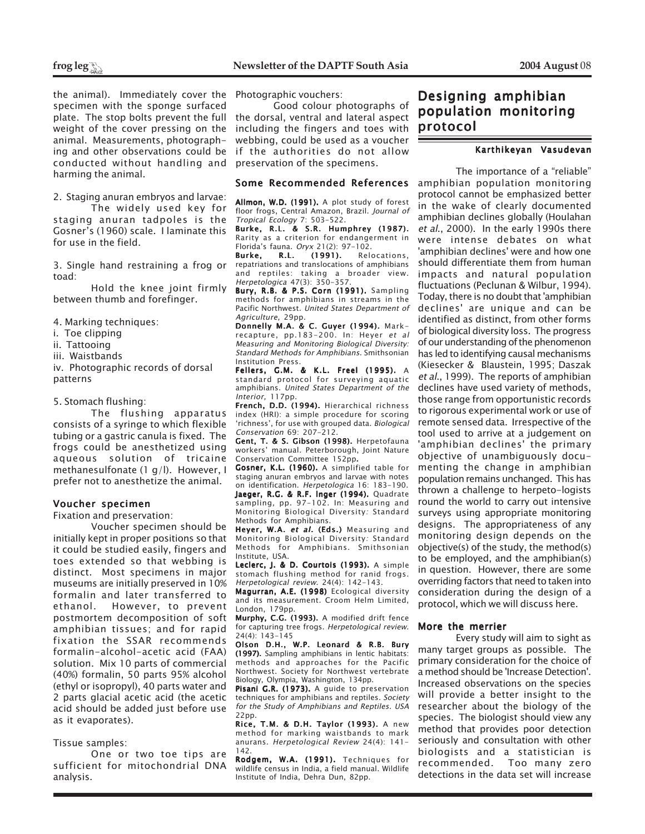the animal). Immediately cover the Photographic vouchers: specimen with the sponge surfaced plate. The stop bolts prevent the full weight of the cover pressing on the animal. Measurements, photographing and other observations could be conducted without handling and harming the animal.

2. Staging anuran embryos and larvae: The widely used key for staging anuran tadpoles is the Gosner's (1960) scale. I laminate this

3. Single hand restraining a frog or toad:

Hold the knee joint firmly between thumb and forefinger.

4. Marking techniques:

for use in the field.

- i. Toe clipping
- ii. Tattooing
- iii. Waistbands

iv. Photographic records of dorsal patterns

5. Stomach flushing:

The flushing apparatus consists of a syringe to which flexible tubing or a gastric canula is fixed. The frogs could be anesthetized using aqueous solution of tricaine methanesulfonate (1 g/l). However, I prefer not to anesthetize the animal.

# Voucher specimen

Fixation and preservation:

Voucher specimen should be initially kept in proper positions so that it could be studied easily, fingers and toes extended so that webbing is distinct. Most specimens in major museums are initially preserved in 10% formalin and later transferred to However, to prevent postmortem decomposition of soft amphibian tissues; and for rapid fixation the SSAR recommends formalin-alcohol-acetic acid (FAA) solution. Mix 10 parts of commercial (40%) formalin, 50 parts 95% alcohol (ethyl or isopropyl), 40 parts water and 2 parts glacial acetic acid (the acetic acid should be added just before use as it evaporates).

# Tissue samples:

One or two toe tips are sufficient for mitochondrial DNA analysis.

Good colour photographs of the dorsal, ventral and lateral aspect including the fingers and toes with webbing, could be used as a voucher if the authorities do not allow preservation of the specimens.

# Some Recommended References

Allmon, W.D. (1991). A plot study of forest floor frogs, Central Amazon, Brazil. Journal of Tropical Ecology 7: 503-522.

Burke, R.L. & S.R. Humphrey (1987). Rarity as a criterion for endangerment in Florida's fauna. *Oryx* 21(2): 97-102.<br>**Burke, R.L. (1991).** Relo

Relocations. repatriations and translocations of amphibians and reptiles: taking a broader view. Herpetologica 47(3): 350-357.

Bury, R.B. & P.S. Corn (1991). Sampling methods for amphibians in streams in the Pacific Northwest. United States Department of Agriculture, 29pp.

Donnelly M.A. & C. Guyer (1994). Markrecapture, pp.183-200. In: Heyer et al Measuring and Monitoring Biological Diversity: Standard Methods for Amphibians. Smithsonian Institution Press.

Fellers, G.M. & K.L. Freel (1995). A standard protocol for surveying aquatic amphibians. United States Department of the Interior, 117pp.

French, D.D. (1994). Hierarchical richness index (HRI): a simple procedure for scoring 'richness', for use with grouped data. Biological Conservation 69: 207-212.

Gent, T. & S. Gibson (1998). Herpetofauna workers' manual. Peterborough, Joint Nature Conservation Committee 152pp.

Gosner, K.L. (1960). A simplified table for staging anuran embryos and larvae with notes on identification. Herpetologica 16: 183-190. Jaeger, R.G. & R.F. Inger (1994). Quadrate sampling, pp. 97-102. In: Measuring and Monitoring Biological Diversity: Standard Methods for Amphibians.

Heyer, W.A. et al. (Eds.) Measuring and Monitoring Biological Diversity: Standard Methods for Amphibians. Smithsonian Institute, USA.

Leclerc, J. & D. Courtois (1993). A simple stomach flushing method for ranid frogs. Herpetological review. 24(4): 142-143.

Magurran, A.E. (1998) Ecological diversity and its measurement. Croom Helm Limited, London, 179pp.

Murphy, C.G. (1993). A modified drift fence for capturing tree frogs. Herpetological review. 24(4): 143-145

Olson D.H., W.P. Leonard & R.B. Bury (1997). Sampling amphibians in lentic habitats: methods and approaches for the Pacific Northwest. Society for Northwest vertebrate Biology, Olympia, Washington, 134pp.

Pisani G.R. (1973). A guide to preservation techniques for amphibians and reptiles. Society for the Study of Amphibians and Reptiles. USA 22pp.

Rice, T.M. & D.H. Taylor (1993). A new method for marking waistbands to mark anurans. Herpetological Review 24(4): 141- 142.

Rodgem, W.A. (1991). Techniques for wildlife census in India, a field manual. Wildlife Institute of India, Dehra Dun, 82pp.

# Designing amphibian population monitoring protocol

# Karthikeyan Vasudevan

The importance of a "reliable" amphibian population monitoring protocol cannot be emphasized better in the wake of clearly documented amphibian declines globally (Houlahan et al., 2000). In the early 1990s there were intense debates on what 'amphibian declines' were and how one should differentiate them from human impacts and natural population fluctuations (Peclunan & Wilbur, 1994). Today, there is no doubt that 'amphibian declines' are unique and can be identified as distinct, from other forms of biological diversity loss. The progress of our understanding of the phenomenon has led to identifying causal mechanisms (Kiesecker & Blaustein, 1995; Daszak et al., 1999). The reports of amphibian declines have used variety of methods, those range from opportunistic records to rigorous experimental work or use of remote sensed data. Irrespective of the tool used to arrive at a judgement on 'amphibian declines' the primary objective of unambiguously documenting the change in amphibian population remains unchanged. This has thrown a challenge to herpeto-logists round the world to carry out intensive surveys using appropriate monitoring designs. The appropriateness of any monitoring design depends on the objective(s) of the study, the method(s) to be employed, and the amphibian(s) in question. However, there are some overriding factors that need to taken into consideration during the design of a protocol, which we will discuss here.

# More the merrier

Every study will aim to sight as many target groups as possible. The primary consideration for the choice of a method should be 'Increase Detection'. Increased observations on the species will provide a better insight to the researcher about the biology of the species. The biologist should view any method that provides poor detection seriously and consultation with other biologists and a statistician is recommended. Too many zero detections in the data set will increase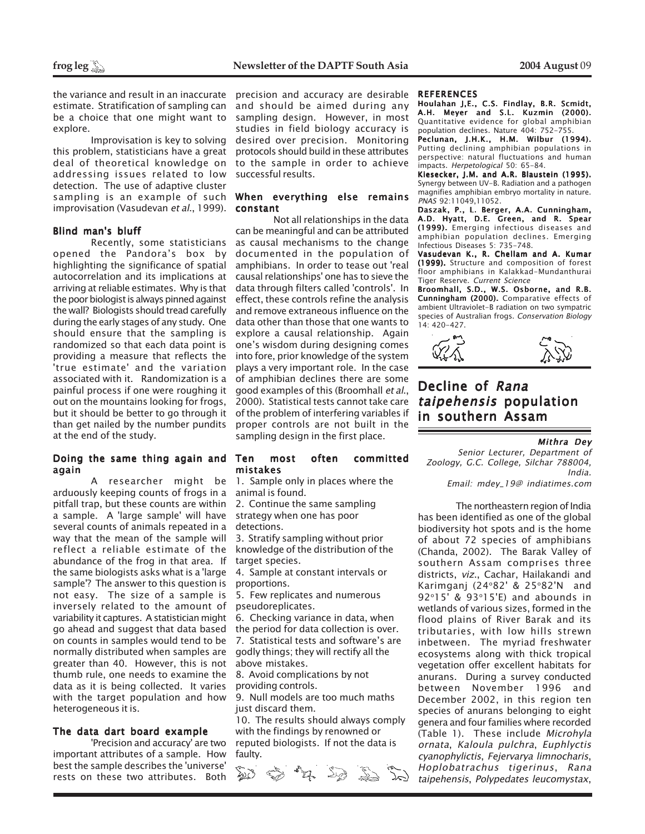the variance and result in an inaccurate estimate. Stratification of sampling can be a choice that one might want to explore.

Improvisation is key to solving this problem, statisticians have a great deal of theoretical knowledge on addressing issues related to low detection. The use of adaptive cluster sampling is an example of such improvisation (Vasudevan et al., 1999).

# Blind man's bluff

Recently, some statisticians opened the Pandora's box by highlighting the significance of spatial autocorrelation and its implications at arriving at reliable estimates. Why is that the poor biologist is always pinned against the wall? Biologists should tread carefully during the early stages of any study. One should ensure that the sampling is randomized so that each data point is providing a measure that reflects the 'true estimate' and the variation associated with it. Randomization is a painful process if one were roughing it out on the mountains looking for frogs, but it should be better to go through it than get nailed by the number pundits at the end of the study.

# Doing the same thing again and again

arduously keeping counts of frogs in a pitfall trap, but these counts are within a sample. A 'large sample' will have several counts of animals repeated in a way that the mean of the sample will reflect a reliable estimate of the abundance of the frog in that area. If the same biologists asks what is a 'large sample'? The answer to this question is not easy. The size of a sample is inversely related to the amount of variability it captures. A statistician might go ahead and suggest that data based on counts in samples would tend to be normally distributed when samples are greater than 40. However, this is not thumb rule, one needs to examine the data as it is being collected. It varies with the target population and how heterogeneous it is.

# The data dart board example

'Precision and accuracy' are two important attributes of a sample. How best the sample describes the 'universe' rests on these two attributes. Both precision and accuracy are desirable and should be aimed during any sampling design. However, in most studies in field biology accuracy is desired over precision. Monitoring protocols should build in these attributes to the sample in order to achieve successful results.

# When everything else remains constant

Not all relationships in the data can be meaningful and can be attributed as causal mechanisms to the change documented in the population of amphibians. In order to tease out 'real causal relationships' one has to sieve the data through filters called 'controls'. In effect, these controls refine the analysis and remove extraneous influence on the data other than those that one wants to explore a causal relationship. Again one's wisdom during designing comes into fore, prior knowledge of the system plays a very important role. In the case of amphibian declines there are some good examples of this (Broomhall et al., 2000). Statistical tests cannot take care of the problem of interfering variables if proper controls are not built in the sampling design in the first place.

# Ten most often committed mistakes

A researcher might be 1. Sample only in places where the animal is found.

> 2. Continue the same sampling strategy when one has poor detections.

3. Stratify sampling without prior knowledge of the distribution of the target species.

4. Sample at constant intervals or proportions.

5. Few replicates and numerous pseudoreplicates.

6. Checking variance in data, when the period for data collection is over. 7. Statistical tests and software's are godly things; they will rectify all the above mistakes.

8. Avoid complications by not providing controls.

9. Null models are too much maths just discard them.

10. The results should always comply with the findings by renowned or reputed biologists. If not the data is faulty.



### REFERENCES

Houlahan J,E., C.S. Findlay, B.R. Scmidt, A.H. Meyer and S.L. Kuzmin (2000). Quantitative evidence for global amphibian population declines. Nature 404: 752-755.

Peclunan, J.H.K., H.M. Wilbur (1994). Putting declining amphibian populations in perspective: natural fluctuations and human impacts. Herpetological 50: 65-84.

Kiesecker, J.M. and A.R. Blaustein (1995). Synergy between UV-B. Radiation and a pathogen magnifies amphibian embryo mortality in nature. PNAS 92:11049,11052.

Daszak, P., L. Berger, A.A. Cunningham, A.D. Hyatt, D.E. Green, and R. Spear (1999). Emerging infectious diseases and amphibian population declines. Emerging Infectious Diseases 5: 735-748.

Vasudevan K., R. Chellam and A. Kumar (1999). Structure and composition of forest floor amphibians in Kalakkad-Mundanthurai Tiger Reserve. Current Science

Broomhall, S.D., W.S. Osborne, and R.B. Cunningham (2000). Comparative effects of ambient Ultraviolet-B radiation on two sympatric species of Australian frogs. Conservation Biology 14: 420-427.



# Decline of Rana taipehensis population in southern Assam

# Mithra Dey

Senior Lecturer, Department of Zoology, G.C. College, Silchar 788004, India.

Email: mdey\_19@ indiatimes.com

The northeastern region of India has been identified as one of the global biodiversity hot spots and is the home of about 72 species of amphibians (Chanda, 2002). The Barak Valley of southern Assam comprises three districts, viz., Cachar, Hailakandi and Karimganj (24°82' & 25°82'N and 92°15' & 93°15'E) and abounds in wetlands of various sizes, formed in the flood plains of River Barak and its tributaries, with low hills strewn inbetween. The myriad freshwater ecosystems along with thick tropical vegetation offer excellent habitats for anurans. During a survey conducted between November 1996 and December 2002, in this region ten species of anurans belonging to eight genera and four families where recorded (Table 1). These include Microhyla ornata, Kaloula pulchra, Euphlyctis cyanophylictis, Fejervarya limnocharis, Hoplobatrachus tigerinus, Rana taipehensis, Polypedates leucomystax,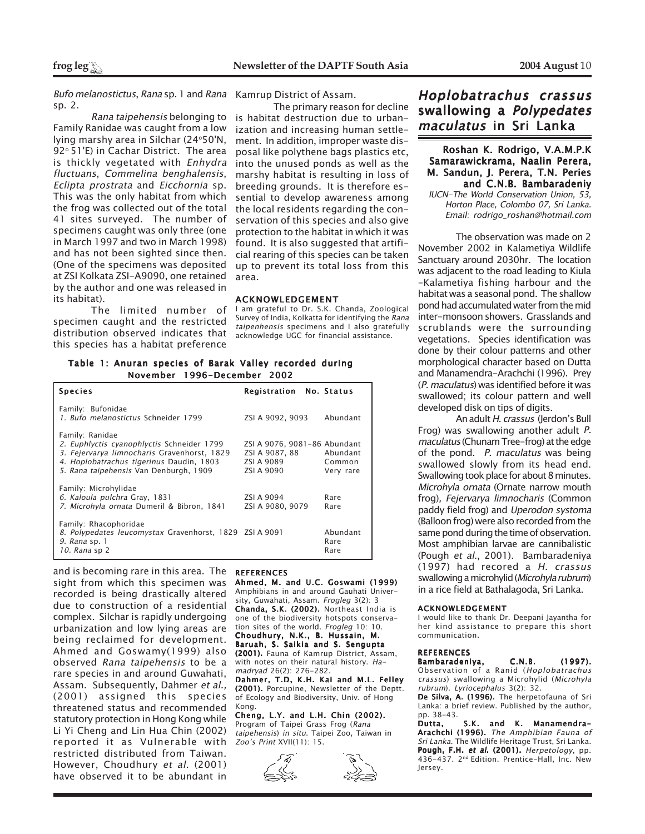Bufo melanostictus, Rana sp. 1 and Rana Kamrup District of Assam. sp. 2.

Rana taipehensis belonging to Family Ranidae was caught from a low lying marshy area in Silchar (24°50'N, 92° 51'E) in Cachar District. The area is thickly vegetated with Enhydra fluctuans, Commelina benghalensis, Eclipta prostrata and Eicchornia sp. This was the only habitat from which the frog was collected out of the total 41 sites surveyed. The number of specimens caught was only three (one in March 1997 and two in March 1998) and has not been sighted since then. (One of the specimens was deposited at ZSI Kolkata ZSI-A9090, one retained by the author and one was released in its habitat).

The limited number of specimen caught and the restricted distribution observed indicates that this species has a habitat preference

The primary reason for decline is habitat destruction due to urbanization and increasing human settlement. In addition, improper waste disposal like polythene bags plastics etc, into the unused ponds as well as the marshy habitat is resulting in loss of breeding grounds. It is therefore essential to develop awareness among the local residents regarding the conservation of this species and also give protection to the habitat in which it was found. It is also suggested that artificial rearing of this species can be taken up to prevent its total loss from this area.

### ACKNOWLEDGEMENT

I am grateful to Dr. S.K. Chanda, Zoological Survey of India, Kolkatta for identifying the Rana taipenhensis specimens and I also gratefully acknowledge UGC for financial assistance.

Table 1: Anuran species of Barak Valley recorded during November 1996-December 2002

| <b>Species</b>                                                                                                                                                                                     | <b>Registration</b> No. Status                                                      |                          |
|----------------------------------------------------------------------------------------------------------------------------------------------------------------------------------------------------|-------------------------------------------------------------------------------------|--------------------------|
| Family: Bufonidae<br>1. Bufo melanostictus Schneider 1799                                                                                                                                          | ZSI A 9092, 9093                                                                    | Abundant                 |
| Family: Ranidae<br>2. Euphlyctis cyanophlyctis Schneider 1799<br>3. Fejervarya limnocharis Gravenhorst, 1829<br>4. Hoplobatrachus tigerinus Daudin, 1803<br>5. Rana taipehensis Van Denburgh, 1909 | ZSI A 9076, 9081-86 Abundant<br>ZSI A 9087, 88 Abundant<br>ZSI A 9089<br>ZSI A 9090 | Common<br>Very rare      |
| Family: Microhylidae<br>6. Kaloula pulchra Gray, 1831<br>7. Microhyla ornata Dumeril & Bibron, 1841                                                                                                | ZSI A 9094<br>ZSI A 9080, 9079                                                      | Rare<br>Rare             |
| Family: Rhacophoridae<br>8. Polypedates leucomystax Gravenhorst, 1829 ZSI A 9091<br><i>9. Rana</i> sp. 1<br>10. Rana sp 2                                                                          |                                                                                     | Abundant<br>Rare<br>Rare |

and is becoming rare in this area. The sight from which this specimen was recorded is being drastically altered due to construction of a residential complex. Silchar is rapidly undergoing urbanization and low lying areas are being reclaimed for development. Ahmed and Goswamy(1999) also observed Rana taipehensis to be a rare species in and around Guwahati, Assam. Subsequently, Dahmer et al., (2001) assigned this species threatened status and recommended statutory protection in Hong Kong while Li Yi Cheng and Lin Hua Chin (2002) reported it as Vulnerable with restricted distributed from Taiwan. However, Choudhury et al. (2001) have observed it to be abundant in

### **REFERENCES**

Ahmed, M. and U.C. Goswami (1999) Amphibians in and around Gauhati University, Guwahati, Assam. Frogleg 3(2): 3 Chanda, S.K. (2002). Northeast India is one of the biodiversity hotspots conservation sites of the world. Frogleg 10: 10. Choudhury, N.K., B. Hussain, M. Baruah, S. Saikia and S. Sengupta (2001). Fauna of Kamrup District, Assam, with notes on their natural history. Ha-

madryad 26(2): 276-282. Dahmer, T.D, K.H. Kai and M.L. Felley (2001). Porcupine, Newsletter of the Deptt. of Ecology and Biodiversity, Univ. of Hong Kong.

Cheng, L.Y. and L.H. Chin (2002). Program of Taipei Grass Frog (Rana taipehensis) in situ. Taipei Zoo, Taiwan in Zoo's Print XVII(11): 15.





# Hoplobatrachus crassus swallowing a Polypedates maculatus in Sri Lanka

# Roshan K. Rodrigo, V.A.M.P.K Samarawickrama, Naalin Perera, M. Sandun, J. Perera, T.N. Peries and C.N.B. Bambaradeniy

IUCN-The World Conservation Union, 53, Horton Place, Colombo 07, Sri Lanka. Email: rodrigo\_roshan@hotmail.com

The observation was made on 2 November 2002 in Kalametiya Wildlife Sanctuary around 2030hr. The location was adjacent to the road leading to Kiula -Kalametiya fishing harbour and the habitat was a seasonal pond. The shallow pond had accumulated water from the mid inter-monsoon showers. Grasslands and scrublands were the surrounding vegetations. Species identification was done by their colour patterns and other morphological character based on Dutta and Manamendra-Arachchi (1996). Prey (P. maculatus) was identified before it was swallowed; its colour pattern and well developed disk on tips of digits.

An adult H. crassus (Jerdon's Bull Frog) was swallowing another adult P. maculatus (Chunam Tree-frog) at the edge of the pond. P. maculatus was being swallowed slowly from its head end. Swallowing took place for about 8 minutes. Microhyla ornata (Ornate narrow mouth frog), Fejervarya limnocharis (Common paddy field frog) and Uperodon systoma (Balloon frog) were also recorded from the same pond during the time of observation. Most amphibian larvae are cannibalistic (Pough et al., 2001). Bambaradeniya (1997) had recored a H. crassus swallowing a microhylid (Microhyla rubrum) in a rice field at Bathalagoda, Sri Lanka.

### ACKNOWLEDGEMENT

I would like to thank Dr. Deepani Jayantha for her kind assistance to prepare this short communication.

# **REFERENCES**

Bambaradeniya, C.N.B. (1997). Observation of a Ranid (Hoplobatrachus crassus) swallowing a Microhylid (Microhyla rubrum). Lyriocephalus 3(2): 32.

De Silva, A. (1996). The herpetofauna of Sri Lanka: a brief review. Published by the author, pp. 38-43.

Dutta, S.K. and K. Manamendra–<br>Arachchi (1996). *The Amphibian Fauna of* Sri Lanka. The Wildlife Heritage Trust, Sri Lanka. Pough, F.H. et al. (2001). Herpetology, pp. 436-437. 2nd Edition. Prentice-Hall, Inc. New Jersey.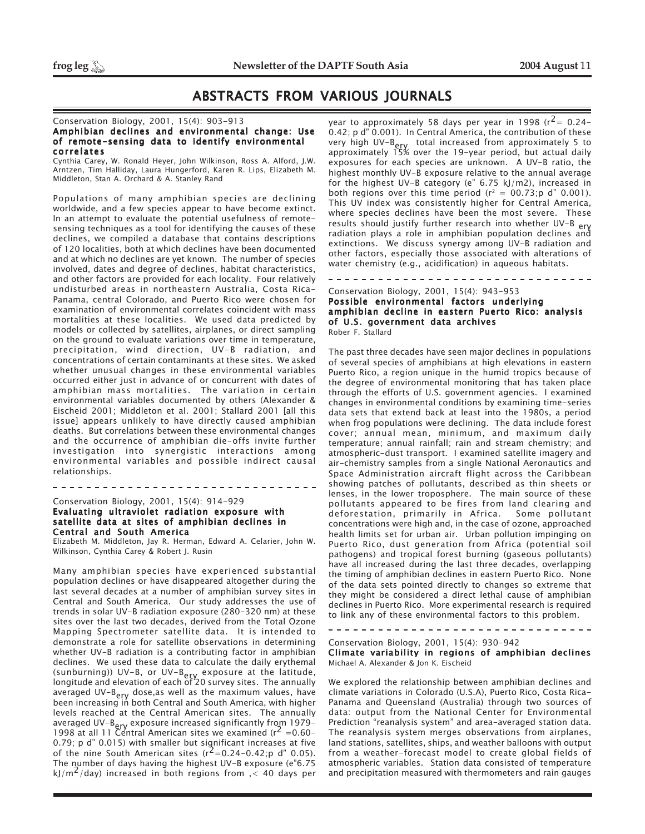# ABSTRACTS FROM VARIOUS JOURNALS

# Conservation Biology, 2001, 15(4): 903-913

# Amphibian declines and environmental change: Use of remote-sensing data to identify environmental correlates

Cynthia Carey, W. Ronald Heyer, John Wilkinson, Ross A. Alford, J.W. Arntzen, Tim Halliday, Laura Hungerford, Karen R. Lips, Elizabeth M. Middleton, Stan A. Orchard & A. Stanley Rand

Populations of many amphibian species are declining worldwide, and a few species appear to have become extinct. In an attempt to evaluate the potential usefulness of remotesensing techniques as a tool for identifying the causes of these declines, we compiled a database that contains descriptions of 120 localities, both at which declines have been documented and at which no declines are yet known. The number of species involved, dates and degree of declines, habitat characteristics, and other factors are provided for each locality. Four relatively undisturbed areas in northeastern Australia, Costa Rica-Panama, central Colorado, and Puerto Rico were chosen for examination of environmental correlates coincident with mass mortalities at these localities. We used data predicted by models or collected by satellites, airplanes, or direct sampling on the ground to evaluate variations over time in temperature, precipitation, wind direction, UV-B radiation, and concentrations of certain contaminants at these sites. We asked whether unusual changes in these environmental variables occurred either just in advance of or concurrent with dates of amphibian mass mortalities. The variation in certain environmental variables documented by others (Alexander & Eischeid 2001; Middleton et al. 2001; Stallard 2001 [all this issue] appears unlikely to have directly caused amphibian deaths. But correlations between these environmental changes and the occurrence of amphibian die-offs invite further investigation into synergistic interactions among environmental variables and possible indirect causal relationships.

# Conservation Biology, 2001, 15(4): 914-929 Evaluating ultraviolet radiation exposure with satellite data at sites of amphibian declines in Central and South America

Elizabeth M. Middleton, Jay R. Herman, Edward A. Celarier, John W. Wilkinson, Cynthia Carey & Robert J. Rusin

---------------------------------

Many amphibian species have experienced substantial population declines or have disappeared altogether during the last several decades at a number of amphibian survey sites in Central and South America. Our study addresses the use of trends in solar UV-B radiation exposure (280-320 nm) at these sites over the last two decades, derived from the Total Ozone Mapping Spectrometer satellite data. It is intended to demonstrate a role for satellite observations in determining whether UV-B radiation is a contributing factor in amphibian declines. We used these data to calculate the daily erythemal (sunburning)) UV–B, or UV–B<sub>ery</sub> exposure at the latitude,<br>longitude and elevation of each of 20 survey sites. The annually averaged UV-B<sub>ery</sub> dose,as well as the maximum values, have<br>been increasing in both Central and South America, with higher levels reached at the Central American sites. The annually averaged UV-B<sub>ery</sub> exposure increased significantly from 1979-1998 at all 11 Central American sites we examined ( $r^2$  =0.60-0.79; p d" 0.015) with smaller but significant increases at five of the nine South American sites  $(r^2=0.24-0.42;p \, d^{\prime\prime} 0.05)$ . The number of days having the highest UV-B exposure (e"6.75 kJ/m<sup>2</sup>/day) increased in both regions from  $\leq$  40 days per

year to approximately 58 days per year in 1998 ( $r^2$  = 0.24-0.42; p d" 0.001). In Central America, the contribution of these very high UV-B<sub>ery</sub> total increased from approximately 5 to<br>approximately 15% over the 19-year period, but actual daily exposures for each species are unknown. A UV-B ratio, the highest monthly UV-B exposure relative to the annual average for the highest UV-B category (e" 6.75 kJ/m2), increased in both regions over this time period ( $r^2 = 00.73$ ; p d" 0.001). This UV index was consistently higher for Central America, where species declines have been the most severe. These results should justify further research into whether UV-B ery radiation plays a role in amphibian population declines and extinctions. We discuss synergy among UV-B radiation and other factors, especially those associated with alterations of water chemistry (e.g., acidification) in aqueous habitats.

# Conservation Biology, 2001, 15(4): 943-953 Possible environmental factors underlying amphibian decline in eastern Puerto Rico: analysis of U.S. government data archives Rober F. Stallard

--------------------------------

The past three decades have seen major declines in populations of several species of amphibians at high elevations in eastern Puerto Rico, a region unique in the humid tropics because of the degree of environmental monitoring that has taken place through the efforts of U.S. government agencies. I examined changes in environmental conditions by examining time-series data sets that extend back at least into the 1980s, a period when frog populations were declining. The data include forest cover; annual mean, minimum, and maximum daily temperature; annual rainfall; rain and stream chemistry; and atmospheric-dust transport. I examined satellite imagery and air-chemistry samples from a single National Aeronautics and Space Administration aircraft flight across the Caribbean showing patches of pollutants, described as thin sheets or lenses, in the lower troposphere. The main source of these pollutants appeared to be fires from land clearing and deforestation, primarily in Africa. Some pollutant concentrations were high and, in the case of ozone, approached health limits set for urban air. Urban pollution impinging on Puerto Rico, dust generation from Africa (potential soil pathogens) and tropical forest burning (gaseous pollutants) have all increased during the last three decades, overlapping the timing of amphibian declines in eastern Puerto Rico. None of the data sets pointed directly to changes so extreme that they might be considered a direct lethal cause of amphibian declines in Puerto Rico. More experimental research is required to link any of these environmental factors to this problem.

<u>\_\_\_\_\_\_\_\_\_\_\_\_\_\_\_\_\_\_\_\_\_\_\_\_\_\_\_\_\_\_\_</u>

Conservation Biology, 2001, 15(4): 930-942 Climate variability in regions of amphibian declines Michael A. Alexander & Jon K. Eischeid

We explored the relationship between amphibian declines and climate variations in Colorado (U.S.A), Puerto Rico, Costa Rica-Panama and Queensland (Australia) through two sources of data: output from the National Center for Environmental Prediction "reanalysis system" and area-averaged station data. The reanalysis system merges observations from airplanes, land stations, satellites, ships, and weather balloons with output from a weather-forecast model to create global fields of atmospheric variables. Station data consisted of temperature and precipitation measured with thermometers and rain gauges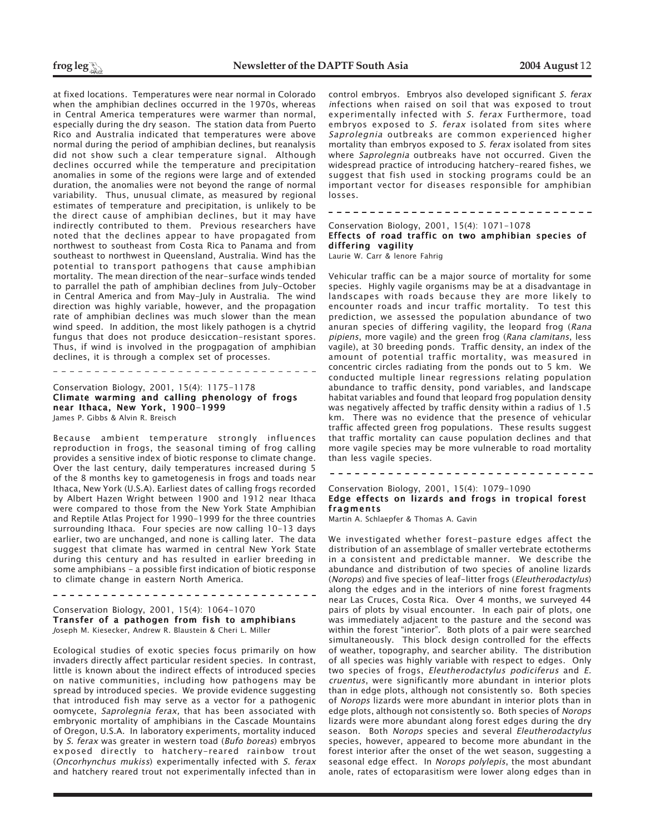at fixed locations. Temperatures were near normal in Colorado when the amphibian declines occurred in the 1970s, whereas in Central America temperatures were warmer than normal, especially during the dry season. The station data from Puerto Rico and Australia indicated that temperatures were above normal during the period of amphibian declines, but reanalysis did not show such a clear temperature signal. Although declines occurred while the temperature and precipitation anomalies in some of the regions were large and of extended duration, the anomalies were not beyond the range of normal variability. Thus, unusual climate, as measured by regional estimates of temperature and precipitation, is unlikely to be the direct cause of amphibian declines, but it may have indirectly contributed to them. Previous researchers have noted that the declines appear to have propagated from northwest to southeast from Costa Rica to Panama and from southeast to northwest in Queensland, Australia. Wind has the potential to transport pathogens that cause amphibian mortality. The mean direction of the near-surface winds tended to parrallel the path of amphibian declines from July-October in Central America and from May-July in Australia. The wind direction was highly variable, however, and the propagation rate of amphibian declines was much slower than the mean wind speed. In addition, the most likely pathogen is a chytrid fungus that does not produce desiccation-resistant spores. Thus, if wind is involved in the progpagation of amphibian declines, it is through a complex set of processes.

Conservation Biology, 2001, 15(4): 1175-1178 Climate warming and calling phenology of frogs near Ithaca, New York, 1900-1999 James P. Gibbs & Alvin R. Breisch

-----------------------

Because ambient temperature strongly influences reproduction in frogs, the seasonal timing of frog calling provides a sensitive index of biotic response to climate change. Over the last century, daily temperatures increased during 5 of the 8 months key to gametogenesis in frogs and toads near Ithaca, New York (U.S.A). Earliest dates of calling frogs recorded by Albert Hazen Wright between 1900 and 1912 near Ithaca were compared to those from the New York State Amphibian and Reptile Atlas Project for 1990-1999 for the three countries surrounding Ithaca. Four species are now calling 10-13 days earlier, two are unchanged, and none is calling later. The data suggest that climate has warmed in central New York State during this century and has resulted in earlier breeding in some amphibians - a possible first indication of biotic response to climate change in eastern North America.

Conservation Biology, 2001, 15(4): 1064-1070 Transfer of a pathogen from fish to amphibians Joseph M. Kiesecker, Andrew R. Blaustein & Cheri L. Miller

Ecological studies of exotic species focus primarily on how invaders directly affect particular resident species. In contrast, little is known about the indirect effects of introduced species on native communities, including how pathogens may be spread by introduced species. We provide evidence suggesting that introduced fish may serve as a vector for a pathogenic oomycete, Saprolegnia ferax, that has been associated with embryonic mortality of amphibians in the Cascade Mountains of Oregon, U.S.A. In laboratory experiments, mortality induced by S. ferax was greater in western toad (Bufo boreas) embryos exposed directly to hatchery-reared rainbow trout (Oncorhynchus mukiss) experimentally infected with S. ferax and hatchery reared trout not experimentally infected than in

control embryos. Embryos also developed significant S. ferax infections when raised on soil that was exposed to trout experimentally infected with S. ferax Furthermore, toad embryos exposed to S. ferax isolated from sites where Saprolegnia outbreaks are common experienced higher mortality than embryos exposed to S. ferax isolated from sites where Saprolegnia outbreaks have not occurred. Given the widespread practice of introducing hatchery-reared fishes, we suggest that fish used in stocking programs could be an important vector for diseases responsible for amphibian losses.

Conservation Biology, 2001, 15(4): 1071-1078 Effects of road traffic on two amphibian species of differing vagility

Laurie W. Carr & lenore Fahrig

Vehicular traffic can be a major source of mortality for some species. Highly vagile organisms may be at a disadvantage in landscapes with roads because they are more likely to encounter roads and incur traffic mortality. To test this prediction, we assessed the population abundance of two anuran species of differing vagility, the leopard frog (Rana pipiens, more vagile) and the green frog (Rana clamitans, less vagile), at 30 breeding ponds. Traffic density, an index of the amount of potential traffic mortality, was measured in concentric circles radiating from the ponds out to 5 km. We conducted multiple linear regressions relating population abundance to traffic density, pond variables, and landscape habitat variables and found that leopard frog population density was negatively affected by traffic density within a radius of 1.5 km. There was no evidence that the presence of vehicular traffic affected green frog populations. These results suggest that traffic mortality can cause population declines and that more vagile species may be more vulnerable to road mortality than less vagile species.

Conservation Biology, 2001, 15(4): 1079-1090

Edge effects on lizards and frogs in tropical forest fragments

Martin A. Schlaepfer & Thomas A. Gavin

We investigated whether forest-pasture edges affect the distribution of an assemblage of smaller vertebrate ectotherms in a consistent and predictable manner. We describe the abundance and distribution of two species of anoline lizards (Norops) and five species of leaf-litter frogs (Eleutherodactylus) along the edges and in the interiors of nine forest fragments near Las Cruces, Costa Rica. Over 4 months, we surveyed 44 pairs of plots by visual encounter. In each pair of plots, one was immediately adjacent to the pasture and the second was within the forest "interior". Both plots of a pair were searched simultaneously. This block design controlled for the effects of weather, topography, and searcher ability. The distribution of all species was highly variable with respect to edges. Only two species of frogs, Eleutherodactylus podiciferus and E. cruentus, were significantly more abundant in interior plots than in edge plots, although not consistently so. Both species of Norops lizards were more abundant in interior plots than in edge plots, although not consistently so. Both species of Norops lizards were more abundant along forest edges during the dry season. Both Norops species and several Eleutherodactylus species, however, appeared to become more abundant in the forest interior after the onset of the wet season, suggesting a seasonal edge effect. In Norops polylepis, the most abundant anole, rates of ectoparasitism were lower along edges than in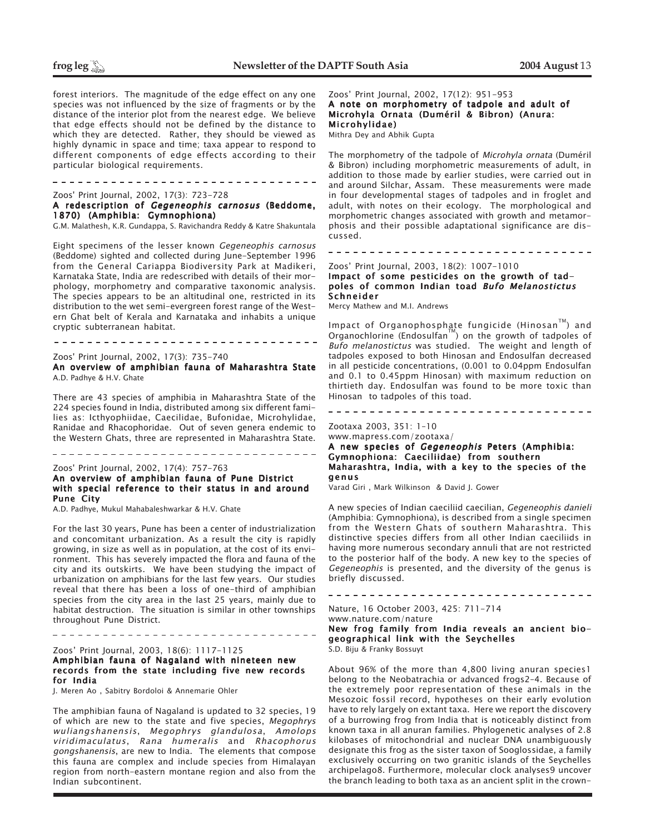forest interiors. The magnitude of the edge effect on any one species was not influenced by the size of fragments or by the distance of the interior plot from the nearest edge. We believe that edge effects should not be defined by the distance to which they are detected. Rather, they should be viewed as highly dynamic in space and time; taxa appear to respond to different components of edge effects according to their particular biological requirements.

----------------------------

Zoos' Print Journal, 2002, 17(3): 723-728

# A redescription of Gegeneophis carnosus (Beddome, 1870) (Amphibia: Gymnophiona)

G.M. Malathesh, K.R. Gundappa, S. Ravichandra Reddy & Katre Shakuntala

Eight specimens of the lesser known Gegeneophis carnosus (Beddome) sighted and collected during June-September 1996 from the General Cariappa Biodiversity Park at Madikeri, Karnataka State, India are redescribed with details of their morphology, morphometry and comparative taxonomic analysis. The species appears to be an altitudinal one, restricted in its distribution to the wet semi-evergreen forest range of the Western Ghat belt of Kerala and Karnataka and inhabits a unique cryptic subterranean habitat.

# Zoos' Print Journal, 2002, 17(3): 735-740

An overview of amphibian fauna of Maharashtra State A.D. Padhye & H.V. Ghate

There are 43 species of amphibia in Maharashtra State of the 224 species found in India, distributed among six different families as: Icthyophiidae, Caecilidae, Bufonidae, Microhylidae, Ranidae and Rhacophoridae. Out of seven genera endemic to the Western Ghats, three are represented in Maharashtra State.

\_\_\_\_\_\_\_\_\_\_\_\_\_\_\_\_\_\_\_\_\_\_\_\_\_\_\_\_\_\_\_\_\_\_\_\_\_

# Zoos' Print Journal, 2002, 17(4): 757-763 An overview of amphibian fauna of Pune District with special reference to their status in and around Pune City

A.D. Padhye, Mukul Mahabaleshwarkar & H.V. Ghate

For the last 30 years, Pune has been a center of industrialization and concomitant urbanization. As a result the city is rapidly growing, in size as well as in population, at the cost of its environment. This has severely impacted the flora and fauna of the city and its outskirts. We have been studying the impact of urbanization on amphibians for the last few years. Our studies reveal that there has been a loss of one-third of amphibian species from the city area in the last 25 years, mainly due to habitat destruction. The situation is similar in other townships throughout Pune District.

# Zoos' Print Journal, 2003, 18(6): 1117-1125 Amphibian fauna of Nagaland with nineteen new records from the state including five new records for India

J. Meren Ao , Sabitry Bordoloi & Annemarie Ohler

The amphibian fauna of Nagaland is updated to 32 species, 19 of which are new to the state and five species, Megophrys wuliangshanensis, Megophrys glandulosa, Amolops viridimaculatus, Rana humeralis and Rhacophorus gongshanensis, are new to India. The elements that compose this fauna are complex and include species from Himalayan region from north-eastern montane region and also from the Indian subcontinent.

Zoos' Print Journal, 2002, 17(12): 951-953 A note on morphometry of tadpole and adult of Microhyla Ornata (Duméril & Bibron) (Anura:

Microhylidae) Mithra Dey and Abhik Gupta

The morphometry of the tadpole of Microhyla ornata (Duméril & Bibron) including morphometric measurements of adult, in addition to those made by earlier studies, were carried out in and around Silchar, Assam. These measurements were made in four developmental stages of tadpoles and in froglet and adult, with notes on their ecology. The morphological and morphometric changes associated with growth and metamorphosis and their possible adaptational significance are discussed.

# Zoos' Print Journal, 2003, 18(2): 1007-1010 Impact of some pesticides on the growth of tadpoles of common Indian toad Bufo Melanostictus Schneider

Mercy Mathew and M.I. Andrews

Impact of Organophosphate fungicide (Hinosan™) and Organochlorine (Endosulfan $\mathbb{M}$ ) on the growth of tadpoles of Bufo melanostictus was studied. The weight and length of tadpoles exposed to both Hinosan and Endosulfan decreased in all pesticide concentrations, (0.001 to 0.04ppm Endosulfan and 0.1 to 0.45ppm Hinosan) with maximum reduction on thirtieth day. Endosulfan was found to be more toxic than Hinosan to tadpoles of this toad.

# Zootaxa 2003, 351: 1–10 www.mapress.com/zootaxa/

# A new species of Gegeneophis Peters (Amphibia: Gymnophiona: Caeciliidae) from southern Maharashtra, India, with a key to the species of the genus

Varad Giri , Mark Wilkinson & David J. Gower

A new species of Indian caeciliid caecilian, Gegeneophis danieli (Amphibia: Gymnophiona), is described from a single specimen from the Western Ghats of southern Maharashtra. This distinctive species differs from all other Indian caeciliids in having more numerous secondary annuli that are not restricted to the posterior half of the body. A new key to the species of Gegeneophis is presented, and the diversity of the genus is briefly discussed.

Nature, 16 October 2003, 425: 711-714 www.nature.com/nature New frog family from India reveals an ancient biogeographical link with the Seychelles S.D. Biju & Franky Bossuyt

About 96% of the more than 4,800 living anuran species1 belong to the Neobatrachia or advanced frogs2–4. Because of the extremely poor representation of these animals in the Mesozoic fossil record, hypotheses on their early evolution have to rely largely on extant taxa. Here we report the discovery of a burrowing frog from India that is noticeably distinct from known taxa in all anuran families. Phylogenetic analyses of 2.8 kilobases of mitochondrial and nuclear DNA unambiguously designate this frog as the sister taxon of Sooglossidae, a family exclusively occurring on two granitic islands of the Seychelles archipelago8. Furthermore, molecular clock analyses9 uncover the branch leading to both taxa as an ancient split in the crown-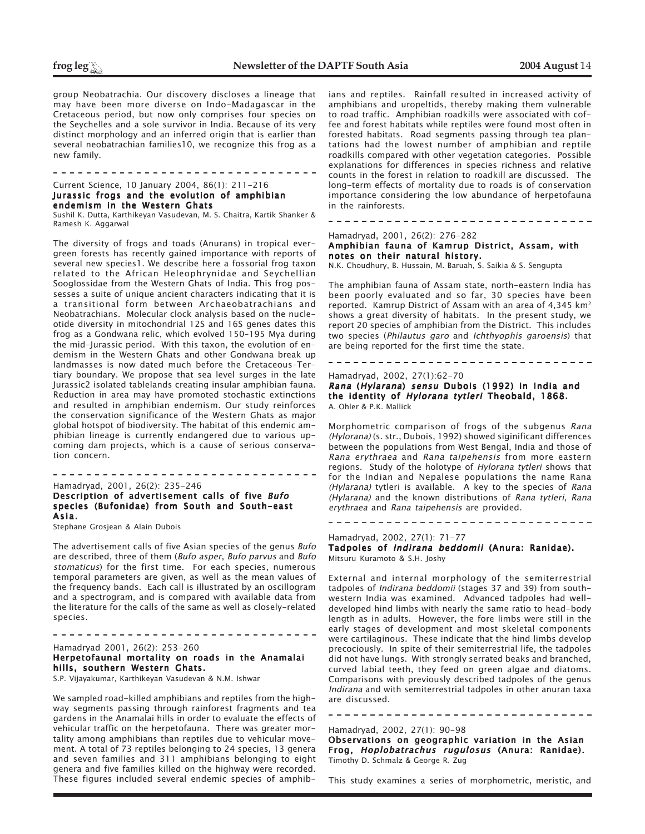group Neobatrachia. Our discovery discloses a lineage that may have been more diverse on Indo-Madagascar in the Cretaceous period, but now only comprises four species on the Seychelles and a sole survivor in India. Because of its very distinct morphology and an inferred origin that is earlier than several neobatrachian families10, we recognize this frog as a new family.

Current Science, 10 January 2004, 86(1): 211-216

### Jurassic frogs and the evolution of amphibian endemism in the Western Ghats Sushil K. Dutta, Karthikeyan Vasudevan, M. S. Chaitra, Kartik Shanker &

Ramesh K. Aggarwal

The diversity of frogs and toads (Anurans) in tropical evergreen forests has recently gained importance with reports of several new species1. We describe here a fossorial frog taxon related to the African Heleophrynidae and Seychellian Sooglossidae from the Western Ghats of India. This frog possesses a suite of unique ancient characters indicating that it is a transitional form between Archaeobatrachians and Neobatrachians. Molecular clock analysis based on the nucleotide diversity in mitochondrial 12S and 16S genes dates this frog as a Gondwana relic, which evolved 150–195 Mya during the mid-Jurassic period. With this taxon, the evolution of endemism in the Western Ghats and other Gondwana break up landmasses is now dated much before the Cretaceous–Tertiary boundary. We propose that sea level surges in the late Jurassic2 isolated tablelands creating insular amphibian fauna. Reduction in area may have promoted stochastic extinctions and resulted in amphibian endemism. Our study reinforces the conservation significance of the Western Ghats as major global hotspot of biodiversity. The habitat of this endemic amphibian lineage is currently endangered due to various upcoming dam projects, which is a cause of serious conservation concern.

Hamadryad, 2001, 26(2): 235-246 Description of advertisement calls of five Bufo species (Bufonidae) from South and South-east Asia.

----------------------------------

Stephane Grosjean & Alain Dubois

The advertisement calls of five Asian species of the genus Bufo are described, three of them (Bufo asper, Bufo parvus and Bufo stomaticus) for the first time. For each species, numerous temporal parameters are given, as well as the mean values of the frequency bands. Each call is illustrated by an oscillogram and a spectrogram, and is compared with available data from the literature for the calls of the same as well as closely-related species.

Hamadryad 2001, 26(2): 253-260 Herpetofaunal mortality on roads in the Anamalai hills, southern Western Ghats.

---------------------------------

S.P. Vijayakumar, Karthikeyan Vasudevan & N.M. Ishwar

We sampled road-killed amphibians and reptiles from the highway segments passing through rainforest fragments and tea gardens in the Anamalai hills in order to evaluate the effects of vehicular traffic on the herpetofauna. There was greater mortality among amphibians than reptiles due to vehicular movement. A total of 73 reptiles belonging to 24 species, 13 genera and seven families and 311 amphibians belonging to eight genera and five families killed on the highway were recorded. These figures included several endemic species of amphib-

ians and reptiles. Rainfall resulted in increased activity of amphibians and uropeltids, thereby making them vulnerable to road traffic. Amphibian roadkills were associated with coffee and forest habitats while reptiles were found most often in forested habitats. Road segments passing through tea plantations had the lowest number of amphibian and reptile roadkills compared with other vegetation categories. Possible explanations for differences in species richness and relative counts in the forest in relation to roadkill are discussed. The long-term effects of mortality due to roads is of conservation importance considering the low abundance of herpetofauna in the rainforests.

# Hamadryad, 2001, 26(2): 276-282

Amphibian fauna of Kamrup District, Assam, with notes on their natural history.

N.K. Choudhury, B. Hussain, M. Baruah, S. Saikia & S. Sengupta

The amphibian fauna of Assam state, north-eastern India has been poorly evaluated and so far, 30 species have been reported. Kamrup District of Assam with an area of 4,345 km2 shows a great diversity of habitats. In the present study, we report 20 species of amphibian from the District. This includes two species (Philautus garo and Ichthyophis garoensis) that are being reported for the first time the state.

# 

Hamadryad, 2002, 27(1):62-70

Rana (Hylarana) sensu Dubois (1992) in India and the identity of Hylorana tytleri Theobald, 1868. A. Ohler & P.K. Mallick

Morphometric comparison of frogs of the subgenus Rana (Hylorana) (s. str., Dubois, 1992) showed siginificant differences between the populations from West Bengal, India and those of Rana erythraea and Rana taipehensis from more eastern regions. Study of the holotype of Hylorana tytleri shows that for the Indian and Nepalese populations the name Rana (Hylarana) tytleri is available. A key to the species of Rana (Hylarana) and the known distributions of Rana tytleri, Rana erythraea and Rana taipehensis are provided.

### Hamadryad, 2002, 27(1): 71-77

Tadpoles of Indirana beddomii (Anura: Ranidae). Mitsuru Kuramoto & S.H. Joshy

External and internal morphology of the semiterrestrial tadpoles of Indirana beddomii (stages 37 and 39) from southwestern India was examined. Advanced tadpoles had welldeveloped hind limbs with nearly the same ratio to head-body length as in adults. However, the fore limbs were still in the early stages of development and most skeletal components were cartilaginous. These indicate that the hind limbs develop precociously. In spite of their semiterrestrial life, the tadpoles did not have lungs. With strongly serrated beaks and branched, curved labial teeth, they feed on green algae and diatoms. Comparisons with previously described tadpoles of the genus Indirana and with semiterrestrial tadpoles in other anuran taxa are discussed.

Hamadryad, 2002, 27(1): 90-98

Observations on geographic variation in the Asian Frog, Hoplobatrachus rugulosus (Anura: Ranidae). Timothy D. Schmalz & George R. Zug

---------------------------------

This study examines a series of morphometric, meristic, and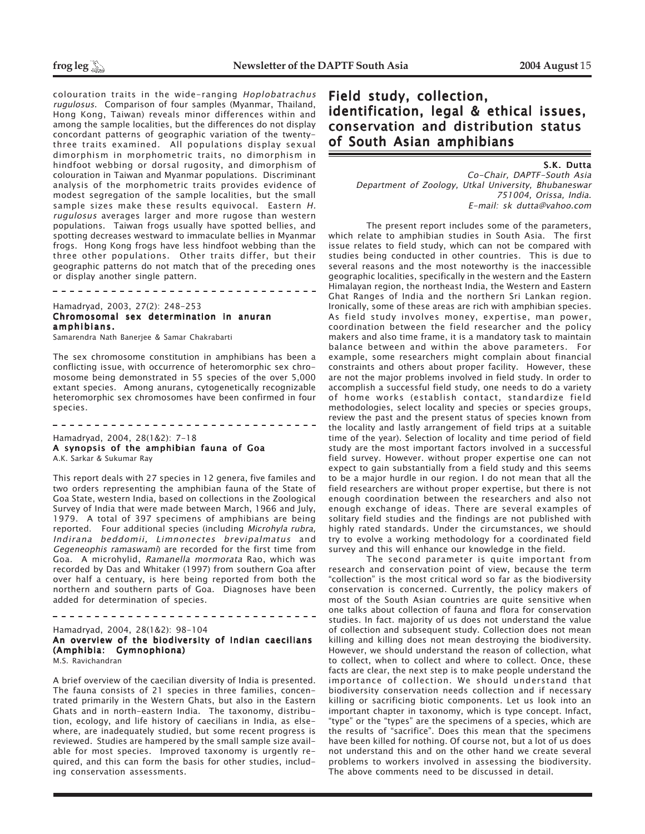colouration traits in the wide-ranging Hoplobatrachus rugulosus. Comparison of four samples (Myanmar, Thailand, Hong Kong, Taiwan) reveals minor differences within and among the sample localities, but the differences do not display concordant patterns of geographic variation of the twentythree traits examined. All populations display sexual dimorphism in morphometric traits, no dimorphism in hindfoot webbing or dorsal rugosity, and dimorphism of colouration in Taiwan and Myanmar populations. Discriminant analysis of the morphometric traits provides evidence of modest segregation of the sample localities, but the small sample sizes make these results equivocal. Eastern H. rugulosus averages larger and more rugose than western populations. Taiwan frogs usually have spotted bellies, and spotting decreases westward to immaculate bellies in Myanmar frogs. Hong Kong frogs have less hindfoot webbing than the three other populations. Other traits differ, but their geographic patterns do not match that of the preceding ones or display another single pattern.

# Hamadryad, 2003, 27(2): 248-253 Chromosomal sex determination in anuran amphibians.

-------------------------------

Samarendra Nath Banerjee & Samar Chakrabarti

The sex chromosome constitution in amphibians has been a conflicting issue, with occurrence of heteromorphic sex chromosome being demonstrated in 55 species of the over 5,000 extant species. Among anurans, cytogenetically recognizable heteromorphic sex chromosomes have been confirmed in four species.

# Hamadryad, 2004, 28(1&2): 7-18 A synopsis of the amphibian fauna of Goa A.K. Sarkar & Sukumar Ray

-------------------------------

This report deals with 27 species in 12 genera, five familes and two orders representing the amphibian fauna of the State of Goa State, western India, based on collections in the Zoological Survey of India that were made between March, 1966 and July, 1979. A total of 397 specimens of amphibians are being reported. Four additional species (including Microhyla rubra, Indirana beddomii, Limnonectes brevipalmatus and Gegeneophis ramaswami) are recorded for the first time from Goa. A microhylid, Ramanella mormorata Rao, which was recorded by Das and Whitaker (1997) from southern Goa after over half a centuary, is here being reported from both the northern and southern parts of Goa. Diagnoses have been added for determination of species.

Hamadryad, 2004, 28(1&2): 98-104 An overview of the biodiversity of Indian caecilians (Amphibia: Gymnophiona) M.S. Ravichandran

\_\_\_\_\_\_\_\_\_\_\_\_\_\_\_\_\_\_\_\_\_\_\_\_\_\_\_\_\_\_\_\_\_\_\_

A brief overview of the caecilian diversity of India is presented. The fauna consists of 21 species in three families, concentrated primarily in the Western Ghats, but also in the Eastern Ghats and in north-eastern India. The taxonomy, distribution, ecology, and life history of caecilians in India, as elsewhere, are inadequately studied, but some recent progress is reviewed. Studies are hampered by the small sample size available for most species. Improved taxonomy is urgently required, and this can form the basis for other studies, including conservation assessments.

# Field study, collection, identification, legal & ethical issues, conservation and distribution status of South Asian amphibians

 S.K. Dutta Co-Chair, DAPTF-South Asia Department of Zoology, Utkal University, Bhubaneswar 751004, Orissa, India. E-mail: sk dutta@vahoo.com

The present report includes some of the parameters, which relate to amphibian studies in South Asia. The first issue relates to field study, which can not be compared with studies being conducted in other countries. This is due to several reasons and the most noteworthy is the inaccessible geographic localities, specifically in the western and the Eastern Himalayan region, the northeast India, the Western and Eastern Ghat Ranges of India and the northern Sri Lankan region. Ironically, some of these areas are rich with amphibian species. As field study involves money, expertise, man power, coordination between the field researcher and the policy makers and also time frame, it is a mandatory task to maintain balance between and within the above parameters. For example, some researchers might complain about financial constraints and others about proper facility. However, these are not the major problems involved in field study. In order to accomplish a successful field study, one needs to do a variety of home works (establish contact, standardize field methodologies, select locality and species or species groups, review the past and the present status of species known from the locality and lastly arrangement of field trips at a suitable time of the year). Selection of locality and time period of field study are the most important factors involved in a successful field survey. However. without proper expertise one can not expect to gain substantially from a field study and this seems to be a major hurdle in our region. I do not mean that all the field researchers are without proper expertise, but there is not enough coordination between the researchers and also not enough exchange of ideas. There are several examples of solitary field studies and the findings are not published with highly rated standards. Under the circumstances, we should try to evolve a working methodology for a coordinated field survey and this will enhance our knowledge in the field.

The second parameter is quite important from research and conservation point of view, because the term "collection" is the most critical word so far as the biodiversity conservation is concerned. Currently, the policy makers of most of the South Asian countries are quite sensitive when one talks about collection of fauna and flora for conservation studies. In fact. majority of us does not understand the value of collection and subsequent study. Collection does not mean killing and killing does not mean destroying the biodiversity. However, we should understand the reason of collection, what to collect, when to collect and where to collect. Once, these facts are clear, the next step is to make people understand the importance of collection. We should understand that biodiversity conservation needs collection and if necessary killing or sacrificing biotic components. Let us look into an important chapter in taxonomy, which is type concept. Infact, "type" or the "types" are the specimens of a species, which are the results of "sacrifice". Does this mean that the specimens have been killed for nothing. Of course not, but a lot of us does not understand this and on the other hand we create several problems to workers involved in assessing the biodiversity. The above comments need to be discussed in detail.